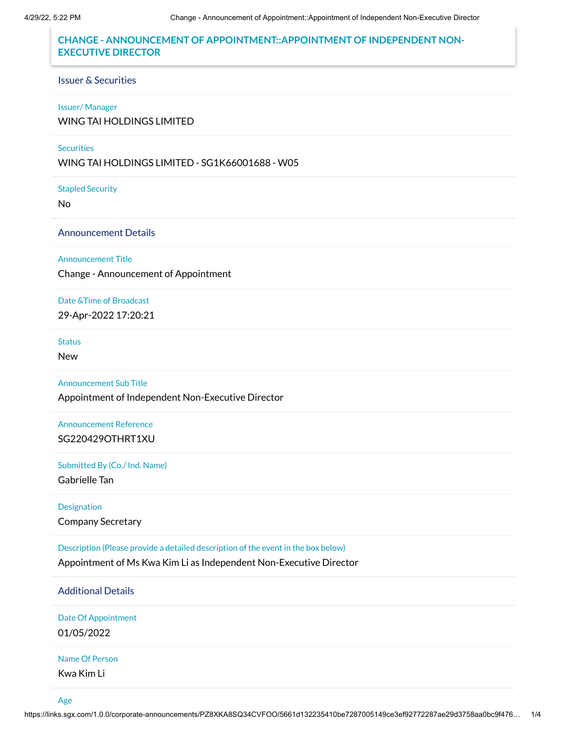# **CHANGE - ANNOUNCEMENT OF APPOINTMENT::APPOINTMENT OF INDEPENDENT NON-EXECUTIVE DIRECTOR**

#### Issuer & Securities

#### Issuer/ Manager

WING TAI HOLDINGS LIMITED

## **Securities**

WING TAI HOLDINGS LIMITED - SG1K66001688 - W05

Stapled Security

No

Announcement Details

### Announcement Title

Change - Announcement of Appointment

Date &Time of Broadcast 29-Apr-2022 17:20:21

#### **Status**

New

### Announcement Sub Title

Appointment of Independent Non-Executive Director

Announcement Reference SG220429OTHRT1XU

#### Submitted By (Co./ Ind. Name)

Gabrielle Tan

### Designation

Company Secretary

Description (Please provide a detailed description of the event in the box below)

Appointment of Ms Kwa Kim Li as Independent Non-Executive Director

# Additional Details

Date Of Appointment 01/05/2022

# Name Of Person

Kwa Kim Li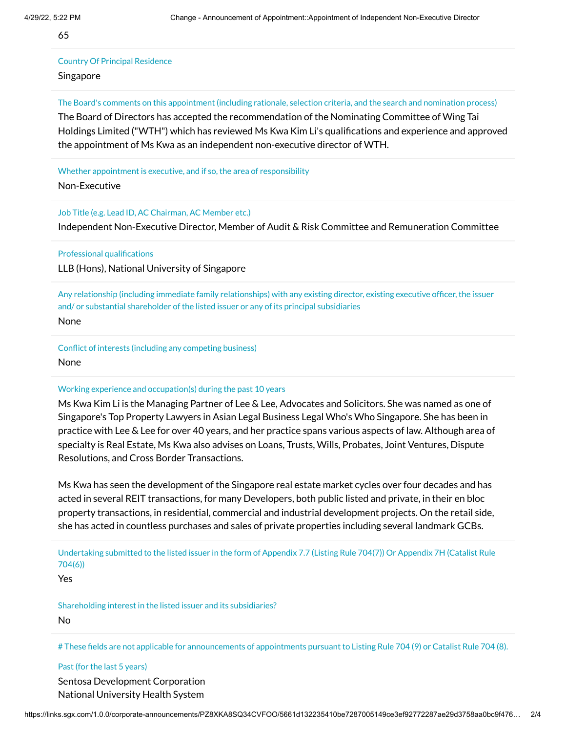65

# Country Of Principal Residence

### Singapore

The Board's comments on this appointment (including rationale, selection criteria, and the search and nomination process)

The Board of Directors has accepted the recommendation of the Nominating Committee of Wing Tai Holdings Limited ("WTH") which has reviewed Ms Kwa Kim Li's qualifications and experience and approved the appointment of Ms Kwa as an independent non-executive director of WTH.

Whether appointment is executive, and if so, the area of responsibility

Non-Executive

Job Title (e.g. Lead ID, AC Chairman, AC Member etc.)

Independent Non-Executive Director, Member of Audit & Risk Committee and Remuneration Committee

Professional qualifications

LLB (Hons), National University of Singapore

Any relationship (including immediate family relationships) with any existing director, existing executive officer, the issuer and/ or substantial shareholder of the listed issuer or any of its principal subsidiaries None

Conflict of interests (including any competing business) None

### Working experience and occupation(s) during the past 10 years

Ms Kwa Kim Li is the Managing Partner of Lee & Lee, Advocates and Solicitors. She was named as one of Singapore's Top Property Lawyers in Asian Legal Business Legal Who's Who Singapore. She has been in practice with Lee & Lee for over 40 years, and her practice spans various aspects of law. Although area of specialty is Real Estate, Ms Kwa also advises on Loans, Trusts, Wills, Probates, Joint Ventures, Dispute Resolutions, and Cross Border Transactions.

Ms Kwa has seen the development of the Singapore real estate market cycles over four decades and has acted in several REIT transactions, for many Developers, both public listed and private, in their en bloc property transactions, in residential, commercial and industrial development projects. On the retail side, she has acted in countless purchases and sales of private properties including several landmark GCBs.

Undertaking submitted to the listed issuer in the form of Appendix 7.7 (Listing Rule 704(7)) Or Appendix 7H (Catalist Rule 704(6))

Yes

Shareholding interest in the listed issuer and its subsidiaries?

No

# These fields are not applicable for announcements of appointments pursuant to Listing Rule 704 (9) or Catalist Rule 704 (8).

Past (for the last 5 years) Sentosa Development Corporation National University Health System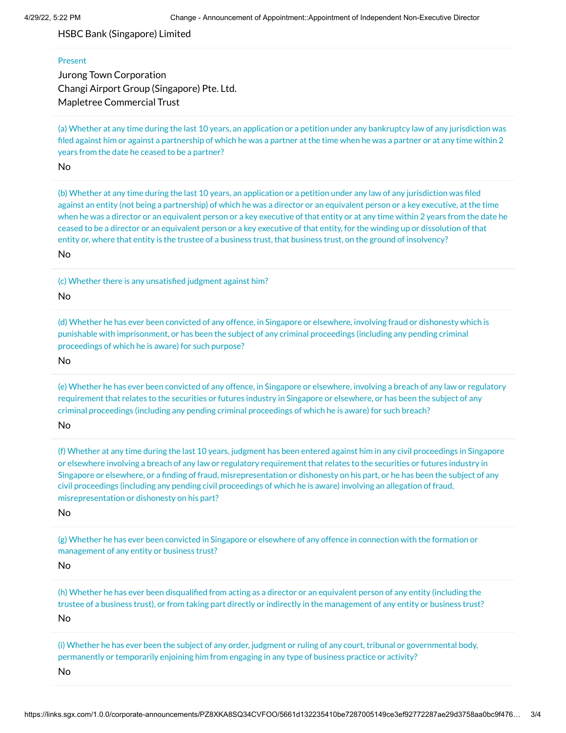HSBC Bank (Singapore) Limited

#### Present

Jurong Town Corporation Changi Airport Group (Singapore) Pte. Ltd. Mapletree Commercial Trust

(a) Whether at any time during the last 10 years, an application or a petition under any bankruptcy law of any jurisdiction was filed against him or against a partnership of which he was a partner at the time when he was a partner or at any time within 2 years from the date he ceased to be a partner?

No

(b) Whether at any time during the last 10 years, an application or a petition under any law of any jurisdiction was filed against an entity (not being a partnership) of which he was a director or an equivalent person or a key executive, at the time when he was a director or an equivalent person or a key executive of that entity or at any time within 2 years from the date he ceased to be a director or an equivalent person or a key executive of that entity, for the winding up or dissolution of that entity or, where that entity is the trustee of a business trust, that business trust, on the ground of insolvency?

No

(c) Whether there is any unsatisfied judgment against him?

No

(d) Whether he has ever been convicted of any offence, in Singapore or elsewhere, involving fraud or dishonesty which is punishable with imprisonment, or has been the subject of any criminal proceedings (including any pending criminal proceedings of which he is aware) for such purpose?

No

(e) Whether he has ever been convicted of any offence, in Singapore or elsewhere, involving a breach of any law or regulatory requirement that relates to the securities or futures industry in Singapore or elsewhere, or has been the subject of any criminal proceedings (including any pending criminal proceedings of which he is aware) for such breach?

No

(f) Whether at any time during the last 10 years, judgment has been entered against him in any civil proceedings in Singapore or elsewhere involving a breach of any law or regulatory requirement that relates to the securities or futures industry in Singapore or elsewhere, or a finding of fraud, misrepresentation or dishonesty on his part, or he has been the subject of any civil proceedings (including any pending civil proceedings of which he is aware) involving an allegation of fraud, misrepresentation or dishonesty on his part?

No

(g) Whether he has ever been convicted in Singapore or elsewhere of any offence in connection with the formation or management of any entity or business trust?

No

(h) Whether he has ever been disqualified from acting as a director or an equivalent person of any entity (including the trustee of a business trust), or from taking part directly or indirectly in the management of any entity or business trust? No

(i) Whether he has ever been the subject of any order, judgment or ruling of any court, tribunal or governmental body, permanently or temporarily enjoining him from engaging in any type of business practice or activity?

No